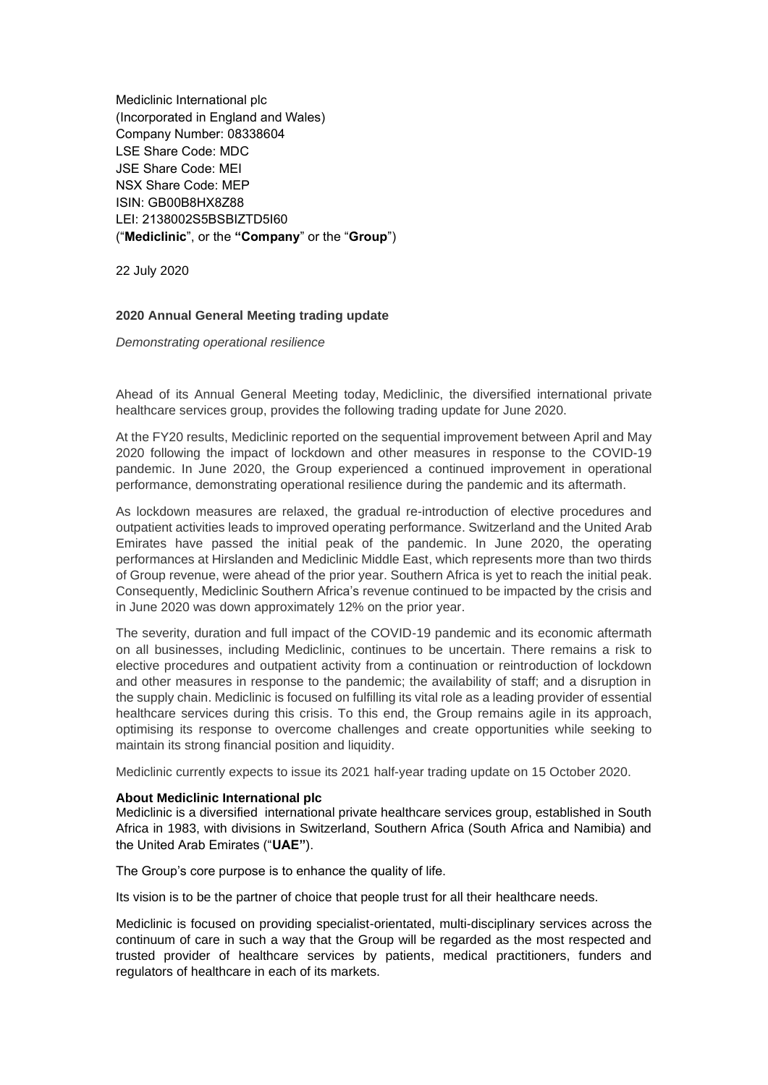Mediclinic International plc (Incorporated in England and Wales) Company Number: 08338604 LSE Share Code: MDC JSE Share Code: MEI NSX Share Code: MEP ISIN: GB00B8HX8Z88 LEI: 2138002S5BSBIZTD5I60 ("**Mediclinic**", or the **"Company**" or the "**Group**")

22 July 2020

## **2020 Annual General Meeting trading update**

*Demonstrating operational resilience*

Ahead of its Annual General Meeting today, Mediclinic, the diversified international private healthcare services group, provides the following trading update for June 2020.

At the FY20 results, Mediclinic reported on the sequential improvement between April and May 2020 following the impact of lockdown and other measures in response to the COVID-19 pandemic. In June 2020, the Group experienced a continued improvement in operational performance, demonstrating operational resilience during the pandemic and its aftermath.

As lockdown measures are relaxed, the gradual re-introduction of elective procedures and outpatient activities leads to improved operating performance. Switzerland and the United Arab Emirates have passed the initial peak of the pandemic. In June 2020, the operating performances at Hirslanden and Mediclinic Middle East, which represents more than two thirds of Group revenue, were ahead of the prior year. Southern Africa is yet to reach the initial peak. Consequently, Mediclinic Southern Africa's revenue continued to be impacted by the crisis and in June 2020 was down approximately 12% on the prior year.

The severity, duration and full impact of the COVID-19 pandemic and its economic aftermath on all businesses, including Mediclinic, continues to be uncertain. There remains a risk to elective procedures and outpatient activity from a continuation or reintroduction of lockdown and other measures in response to the pandemic; the availability of staff; and a disruption in the supply chain. Mediclinic is focused on fulfilling its vital role as a leading provider of essential healthcare services during this crisis. To this end, the Group remains agile in its approach, optimising its response to overcome challenges and create opportunities while seeking to maintain its strong financial position and liquidity.

Mediclinic currently expects to issue its 2021 half-year trading update on 15 October 2020.

## **About Mediclinic International plc**

Mediclinic is a diversified international private healthcare services group, established in South Africa in 1983, with divisions in Switzerland, Southern Africa (South Africa and Namibia) and the United Arab Emirates ("**UAE"**).

The Group's core purpose is to enhance the quality of life.

Its vision is to be the partner of choice that people trust for all their healthcare needs.

Mediclinic is focused on providing specialist-orientated, multi-disciplinary services across the continuum of care in such a way that the Group will be regarded as the most respected and trusted provider of healthcare services by patients, medical practitioners, funders and regulators of healthcare in each of its markets.